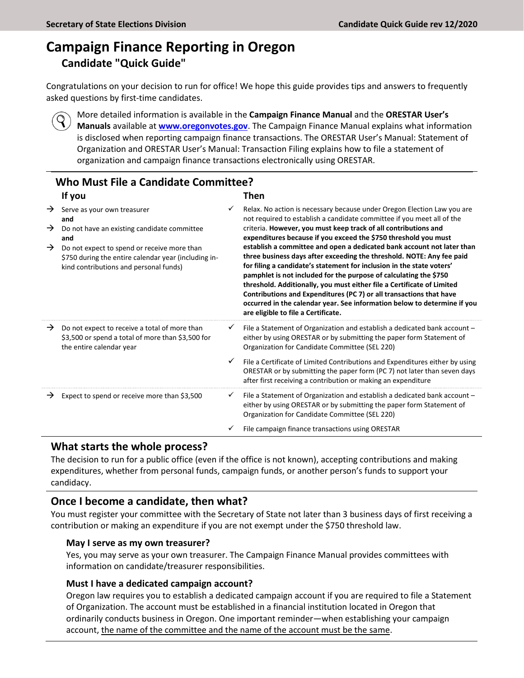## **Campaign Finance Reporting in Oregon Candidate "Quick Guide"**

Congratulations on your decision to run for office! We hope this guide provides tips and answers to frequently asked questions by first-time candidates.



More detailed information is available in the **Campaign Finance Manual** and the **ORESTAR User's Manuals** available at **[www.oregonvotes.gov](file:///C:/Users/lydplu/AppData/Local/Microsoft/Windows/INetCache/Content.Outlook/P6X8I275/www.oregonvotes.gov)**. The Campaign Finance Manual explains what information is disclosed when reporting campaign finance transactions. The ORESTAR User's Manual: Statement of Organization and ORESTAR User's Manual: Transaction Filing explains how to file a statement of organization and campaign finance transactions electronically using ORESTAR.

| <b>Who Must File a Candidate Committee?</b>     |                                                                                                                                                                                                                                           |                              |                                                                                                                                                                                                                                                                                                                                                                                                                                                                                                                                                                                                                                                                                                                                                                                                                                                              |
|-------------------------------------------------|-------------------------------------------------------------------------------------------------------------------------------------------------------------------------------------------------------------------------------------------|------------------------------|--------------------------------------------------------------------------------------------------------------------------------------------------------------------------------------------------------------------------------------------------------------------------------------------------------------------------------------------------------------------------------------------------------------------------------------------------------------------------------------------------------------------------------------------------------------------------------------------------------------------------------------------------------------------------------------------------------------------------------------------------------------------------------------------------------------------------------------------------------------|
|                                                 | If you                                                                                                                                                                                                                                    |                              | Then                                                                                                                                                                                                                                                                                                                                                                                                                                                                                                                                                                                                                                                                                                                                                                                                                                                         |
| $\rightarrow$<br>$\rightarrow$<br>$\rightarrow$ | Serve as your own treasurer<br>and<br>Do not have an existing candidate committee<br>and<br>Do not expect to spend or receive more than<br>\$750 during the entire calendar year (including in-<br>kind contributions and personal funds) |                              | Relax. No action is necessary because under Oregon Election Law you are<br>not required to establish a candidate committee if you meet all of the<br>criteria. However, you must keep track of all contributions and<br>expenditures because if you exceed the \$750 threshold you must<br>establish a committee and open a dedicated bank account not later than<br>three business days after exceeding the threshold. NOTE: Any fee paid<br>for filing a candidate's statement for inclusion in the state voters'<br>pamphlet is not included for the purpose of calculating the \$750<br>threshold. Additionally, you must either file a Certificate of Limited<br>Contributions and Expenditures (PC 7) or all transactions that have<br>occurred in the calendar year. See information below to determine if you<br>are eligible to file a Certificate. |
| $\rightarrow$                                   | Do not expect to receive a total of more than<br>\$3,500 or spend a total of more than \$3,500 for<br>the entire calendar year                                                                                                            | $\checkmark$<br>$\checkmark$ | File a Statement of Organization and establish a dedicated bank account -<br>either by using ORESTAR or by submitting the paper form Statement of<br>Organization for Candidate Committee (SEL 220)<br>File a Certificate of Limited Contributions and Expenditures either by using                                                                                                                                                                                                                                                                                                                                                                                                                                                                                                                                                                          |
|                                                 |                                                                                                                                                                                                                                           |                              | ORESTAR or by submitting the paper form (PC 7) not later than seven days<br>after first receiving a contribution or making an expenditure                                                                                                                                                                                                                                                                                                                                                                                                                                                                                                                                                                                                                                                                                                                    |
| →                                               | Expect to spend or receive more than \$3,500                                                                                                                                                                                              | ✓                            | File a Statement of Organization and establish a dedicated bank account -<br>either by using ORESTAR or by submitting the paper form Statement of<br>Organization for Candidate Committee (SEL 220)                                                                                                                                                                                                                                                                                                                                                                                                                                                                                                                                                                                                                                                          |
|                                                 |                                                                                                                                                                                                                                           |                              | File campaign finance transactions using ORESTAR                                                                                                                                                                                                                                                                                                                                                                                                                                                                                                                                                                                                                                                                                                                                                                                                             |

## **What starts the whole process?**

The decision to run for a public office (even if the office is not known), accepting contributions and making expenditures, whether from personal funds, campaign funds, or another person's funds to support your candidacy.

## **Once I become a candidate, then what?**

You must register your committee with the Secretary of State not later than 3 business days of first receiving a contribution or making an expenditure if you are not exempt under the \$750 threshold law.

#### **May I serve as my own treasurer?**

Yes, you may serve as your own treasurer. The Campaign Finance Manual provides committees with information on candidate/treasurer responsibilities.

#### **Must I have a dedicated campaign account?**

Oregon law requires you to establish a dedicated campaign account if you are required to file a Statement of Organization. The account must be established in a financial institution located in Oregon that ordinarily conducts business in Oregon. One important reminder—when establishing your campaign account, the name of the committee and the name of the account must be the same.